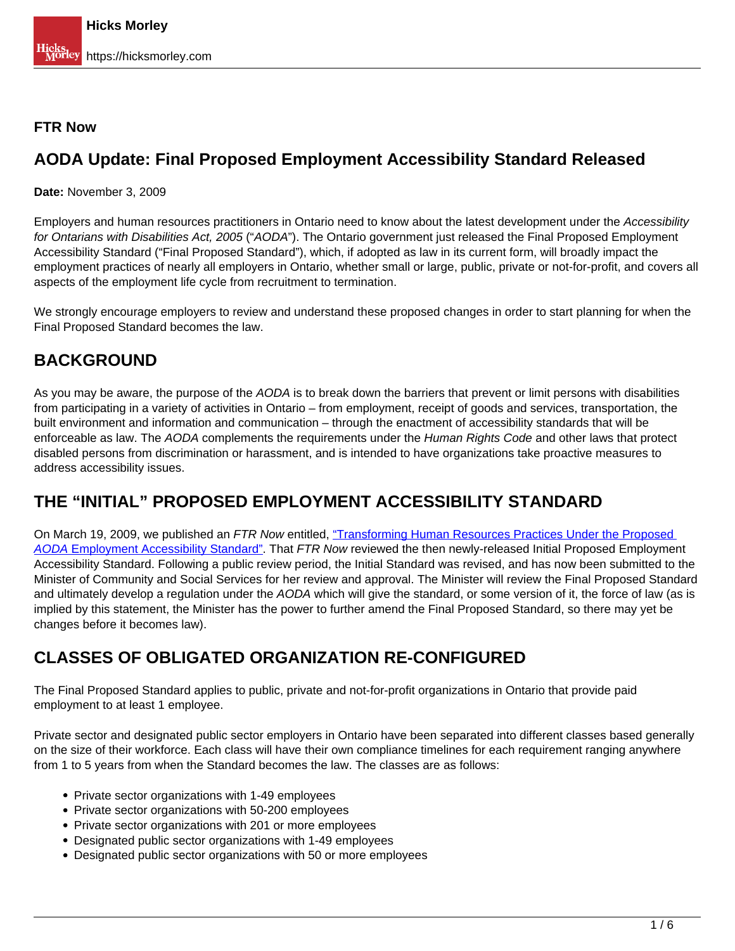#### **FTR Now**

## **AODA Update: Final Proposed Employment Accessibility Standard Released**

**Date:** November 3, 2009

Employers and human resources practitioners in Ontario need to know about the latest development under the Accessibility for Ontarians with Disabilities Act, 2005 ("AODA"). The Ontario government just released the Final Proposed Employment Accessibility Standard ("Final Proposed Standard"), which, if adopted as law in its current form, will broadly impact the employment practices of nearly all employers in Ontario, whether small or large, public, private or not-for-profit, and covers all aspects of the employment life cycle from recruitment to termination.

We strongly encourage employers to review and understand these proposed changes in order to start planning for when the Final Proposed Standard becomes the law.

## **BACKGROUND**

As you may be aware, the purpose of the AODA is to break down the barriers that prevent or limit persons with disabilities from participating in a variety of activities in Ontario – from employment, receipt of goods and services, transportation, the built environment and information and communication – through the enactment of accessibility standards that will be enforceable as law. The AODA complements the requirements under the Human Rights Code and other laws that protect disabled persons from discrimination or harassment, and is intended to have organizations take proactive measures to address accessibility issues.

## **THE "INITIAL" PROPOSED EMPLOYMENT ACCESSIBILITY STANDARD**

On March 19, 2009, we published an FTR Now entitled, ["Transforming Human Resources Practices Under the Proposed](https://hicksmorley.com/2009/03/19/transforming-human-resources-practices-under-the-proposed-aoda-employment-accessibility-standard/)  [AODA](https://hicksmorley.com/2009/03/19/transforming-human-resources-practices-under-the-proposed-aoda-employment-accessibility-standard/) [Employment Accessibility Standard".](https://hicksmorley.com/2009/03/19/transforming-human-resources-practices-under-the-proposed-aoda-employment-accessibility-standard/) That FTR Now reviewed the then newly-released Initial Proposed Employment Accessibility Standard. Following a public review period, the Initial Standard was revised, and has now been submitted to the Minister of Community and Social Services for her review and approval. The Minister will review the Final Proposed Standard and ultimately develop a regulation under the AODA which will give the standard, or some version of it, the force of law (as is implied by this statement, the Minister has the power to further amend the Final Proposed Standard, so there may yet be changes before it becomes law).

# **CLASSES OF OBLIGATED ORGANIZATION RE-CONFIGURED**

The Final Proposed Standard applies to public, private and not-for-profit organizations in Ontario that provide paid employment to at least 1 employee.

Private sector and designated public sector employers in Ontario have been separated into different classes based generally on the size of their workforce. Each class will have their own compliance timelines for each requirement ranging anywhere from 1 to 5 years from when the Standard becomes the law. The classes are as follows:

- Private sector organizations with 1-49 employees
- Private sector organizations with 50-200 employees
- Private sector organizations with 201 or more employees
- Designated public sector organizations with 1-49 employees
- Designated public sector organizations with 50 or more employees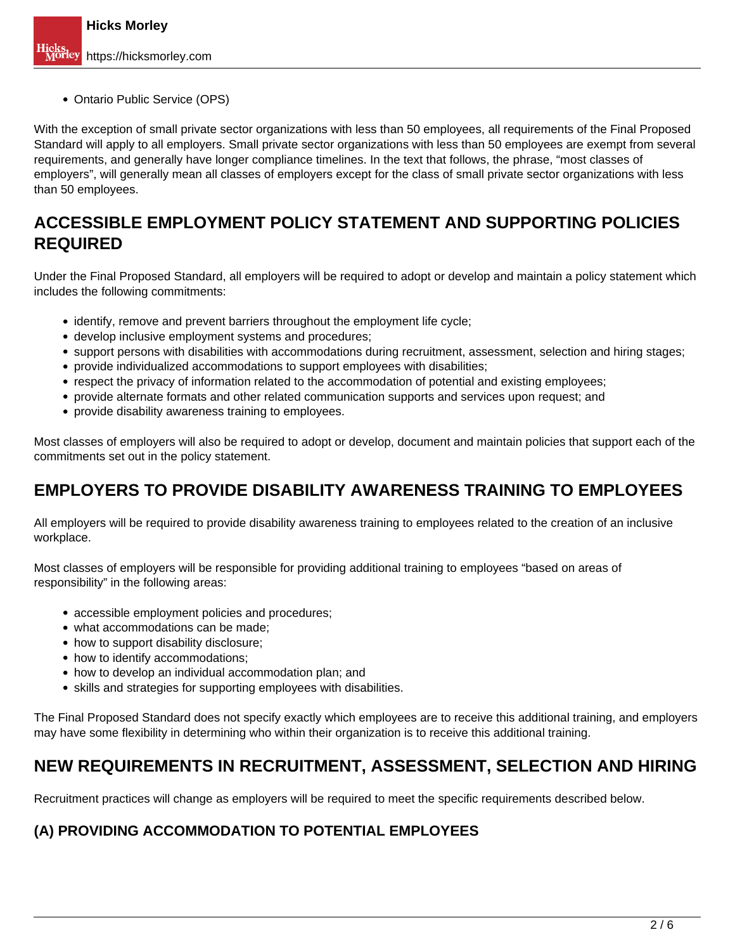• Ontario Public Service (OPS)

With the exception of small private sector organizations with less than 50 employees, all requirements of the Final Proposed Standard will apply to all employers. Small private sector organizations with less than 50 employees are exempt from several requirements, and generally have longer compliance timelines. In the text that follows, the phrase, "most classes of employers", will generally mean all classes of employers except for the class of small private sector organizations with less than 50 employees.

### **ACCESSIBLE EMPLOYMENT POLICY STATEMENT AND SUPPORTING POLICIES REQUIRED**

Under the Final Proposed Standard, all employers will be required to adopt or develop and maintain a policy statement which includes the following commitments:

- identify, remove and prevent barriers throughout the employment life cycle;
- develop inclusive employment systems and procedures;
- support persons with disabilities with accommodations during recruitment, assessment, selection and hiring stages;
- provide individualized accommodations to support employees with disabilities;
- respect the privacy of information related to the accommodation of potential and existing employees;
- provide alternate formats and other related communication supports and services upon request; and
- provide disability awareness training to employees.

Most classes of employers will also be required to adopt or develop, document and maintain policies that support each of the commitments set out in the policy statement.

## **EMPLOYERS TO PROVIDE DISABILITY AWARENESS TRAINING TO EMPLOYEES**

All employers will be required to provide disability awareness training to employees related to the creation of an inclusive workplace.

Most classes of employers will be responsible for providing additional training to employees "based on areas of responsibility" in the following areas:

- accessible employment policies and procedures;
- what accommodations can be made:
- how to support disability disclosure;
- how to identify accommodations;
- how to develop an individual accommodation plan; and
- skills and strategies for supporting employees with disabilities.

The Final Proposed Standard does not specify exactly which employees are to receive this additional training, and employers may have some flexibility in determining who within their organization is to receive this additional training.

### **NEW REQUIREMENTS IN RECRUITMENT, ASSESSMENT, SELECTION AND HIRING**

Recruitment practices will change as employers will be required to meet the specific requirements described below.

#### **(A) PROVIDING ACCOMMODATION TO POTENTIAL EMPLOYEES**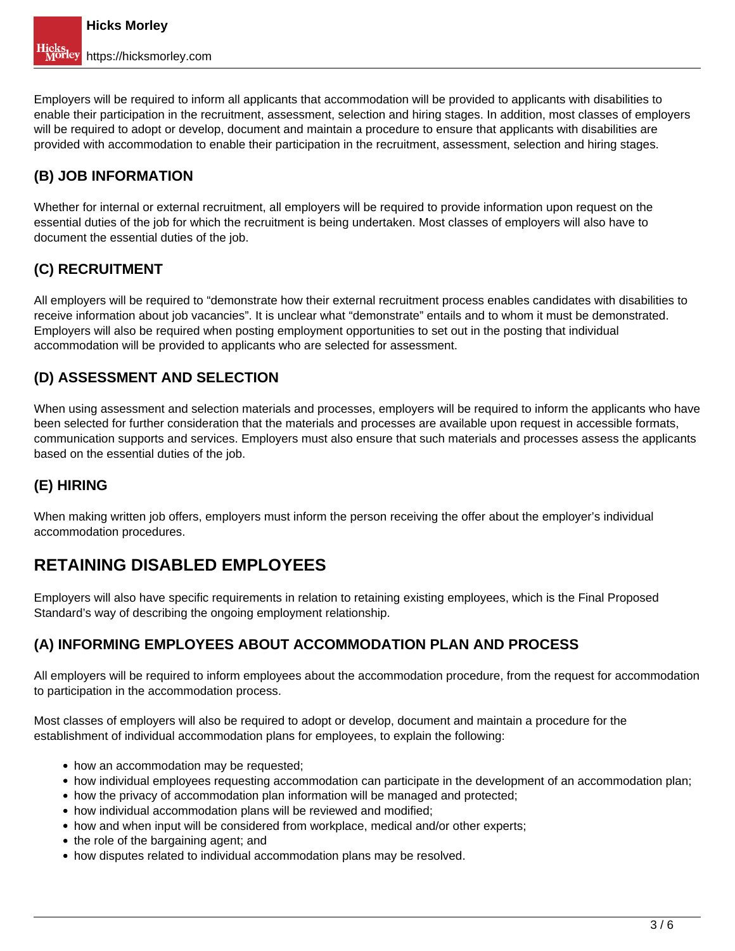Employers will be required to inform all applicants that accommodation will be provided to applicants with disabilities to enable their participation in the recruitment, assessment, selection and hiring stages. In addition, most classes of employers will be required to adopt or develop, document and maintain a procedure to ensure that applicants with disabilities are provided with accommodation to enable their participation in the recruitment, assessment, selection and hiring stages.

### **(B) JOB INFORMATION**

Whether for internal or external recruitment, all employers will be required to provide information upon request on the essential duties of the job for which the recruitment is being undertaken. Most classes of employers will also have to document the essential duties of the job.

### **(C) RECRUITMENT**

All employers will be required to "demonstrate how their external recruitment process enables candidates with disabilities to receive information about job vacancies". It is unclear what "demonstrate" entails and to whom it must be demonstrated. Employers will also be required when posting employment opportunities to set out in the posting that individual accommodation will be provided to applicants who are selected for assessment.

### **(D) ASSESSMENT AND SELECTION**

When using assessment and selection materials and processes, employers will be required to inform the applicants who have been selected for further consideration that the materials and processes are available upon request in accessible formats, communication supports and services. Employers must also ensure that such materials and processes assess the applicants based on the essential duties of the job.

### **(E) HIRING**

When making written job offers, employers must inform the person receiving the offer about the employer's individual accommodation procedures.

## **RETAINING DISABLED EMPLOYEES**

Employers will also have specific requirements in relation to retaining existing employees, which is the Final Proposed Standard's way of describing the ongoing employment relationship.

### **(A) INFORMING EMPLOYEES ABOUT ACCOMMODATION PLAN AND PROCESS**

All employers will be required to inform employees about the accommodation procedure, from the request for accommodation to participation in the accommodation process.

Most classes of employers will also be required to adopt or develop, document and maintain a procedure for the establishment of individual accommodation plans for employees, to explain the following:

- how an accommodation may be requested;
- how individual employees requesting accommodation can participate in the development of an accommodation plan;
- how the privacy of accommodation plan information will be managed and protected;
- how individual accommodation plans will be reviewed and modified;
- how and when input will be considered from workplace, medical and/or other experts;
- the role of the bargaining agent; and
- how disputes related to individual accommodation plans may be resolved.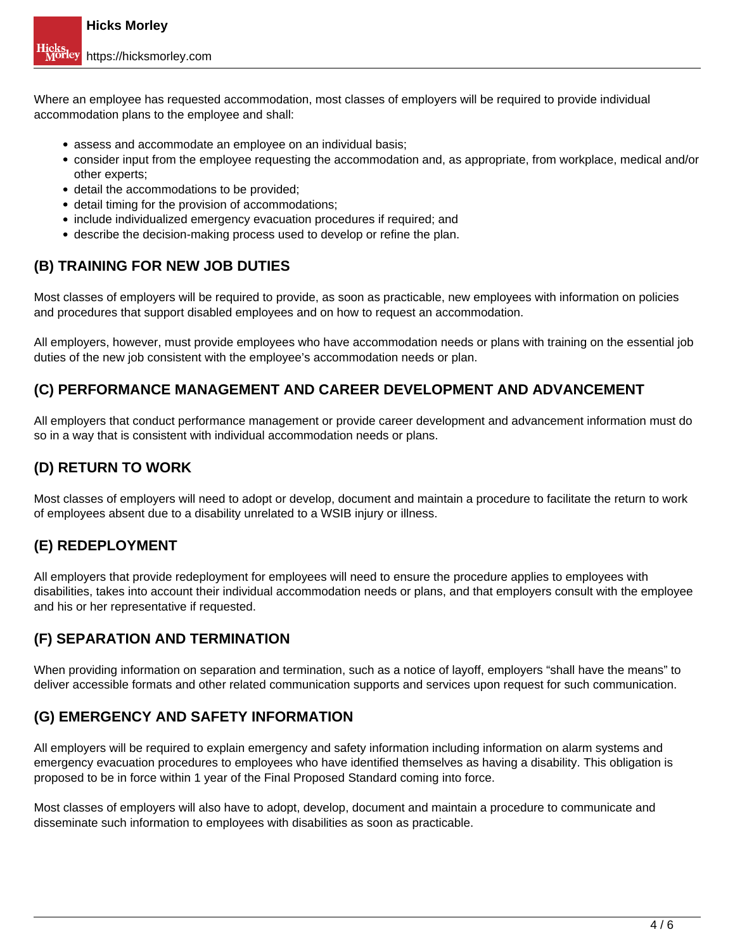Where an employee has requested accommodation, most classes of employers will be required to provide individual accommodation plans to the employee and shall:

- assess and accommodate an employee on an individual basis;
- consider input from the employee requesting the accommodation and, as appropriate, from workplace, medical and/or other experts;
- detail the accommodations to be provided;
- detail timing for the provision of accommodations;
- include individualized emergency evacuation procedures if required; and
- describe the decision-making process used to develop or refine the plan.

#### **(B) TRAINING FOR NEW JOB DUTIES**

Most classes of employers will be required to provide, as soon as practicable, new employees with information on policies and procedures that support disabled employees and on how to request an accommodation.

All employers, however, must provide employees who have accommodation needs or plans with training on the essential job duties of the new job consistent with the employee's accommodation needs or plan.

#### **(C) PERFORMANCE MANAGEMENT AND CAREER DEVELOPMENT AND ADVANCEMENT**

All employers that conduct performance management or provide career development and advancement information must do so in a way that is consistent with individual accommodation needs or plans.

#### **(D) RETURN TO WORK**

Most classes of employers will need to adopt or develop, document and maintain a procedure to facilitate the return to work of employees absent due to a disability unrelated to a WSIB injury or illness.

#### **(E) REDEPLOYMENT**

All employers that provide redeployment for employees will need to ensure the procedure applies to employees with disabilities, takes into account their individual accommodation needs or plans, and that employers consult with the employee and his or her representative if requested.

#### **(F) SEPARATION AND TERMINATION**

When providing information on separation and termination, such as a notice of layoff, employers "shall have the means" to deliver accessible formats and other related communication supports and services upon request for such communication.

#### **(G) EMERGENCY AND SAFETY INFORMATION**

All employers will be required to explain emergency and safety information including information on alarm systems and emergency evacuation procedures to employees who have identified themselves as having a disability. This obligation is proposed to be in force within 1 year of the Final Proposed Standard coming into force.

Most classes of employers will also have to adopt, develop, document and maintain a procedure to communicate and disseminate such information to employees with disabilities as soon as practicable.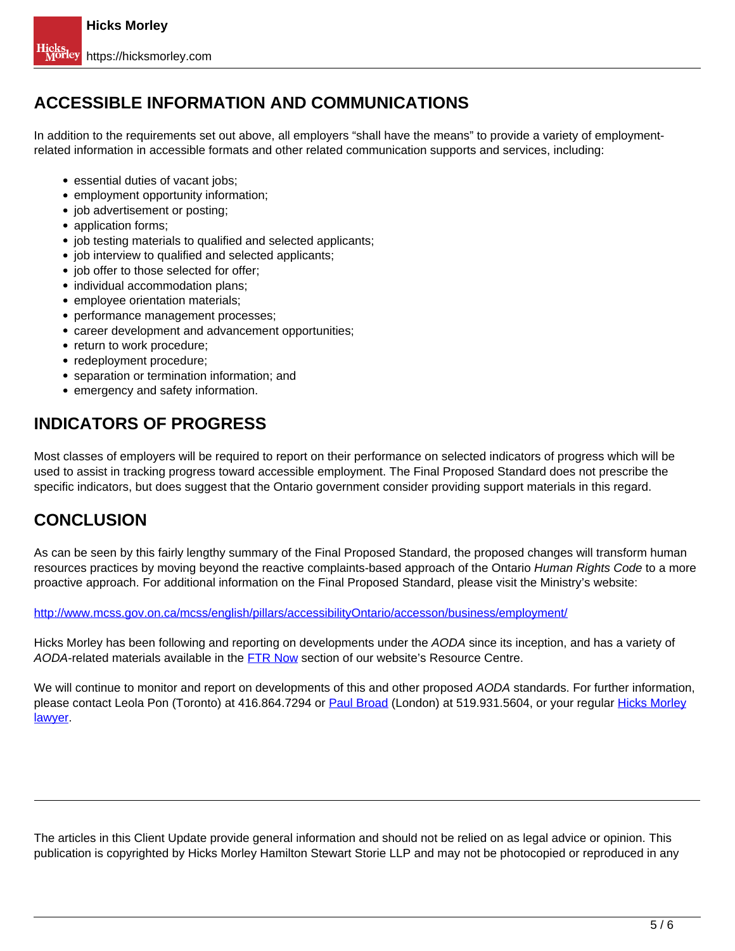## **ACCESSIBLE INFORMATION AND COMMUNICATIONS**

In addition to the requirements set out above, all employers "shall have the means" to provide a variety of employmentrelated information in accessible formats and other related communication supports and services, including:

- essential duties of vacant jobs:
- employment opportunity information;
- job advertisement or posting;
- application forms;
- job testing materials to qualified and selected applicants;
- job interview to qualified and selected applicants;
- job offer to those selected for offer;
- individual accommodation plans:
- employee orientation materials;
- performance management processes;
- career development and advancement opportunities;
- return to work procedure;
- redeployment procedure;
- separation or termination information; and
- emergency and safety information.

## **INDICATORS OF PROGRESS**

Most classes of employers will be required to report on their performance on selected indicators of progress which will be used to assist in tracking progress toward accessible employment. The Final Proposed Standard does not prescribe the specific indicators, but does suggest that the Ontario government consider providing support materials in this regard.

# **CONCLUSION**

As can be seen by this fairly lengthy summary of the Final Proposed Standard, the proposed changes will transform human resources practices by moving beyond the reactive complaints-based approach of the Ontario Human Rights Code to a more proactive approach. For additional information on the Final Proposed Standard, please visit the Ministry's website:

http://www.mcss.gov.on.ca/mcss/english/pillars/accessibilityOntario/accesson/business/employment/

Hicks Morley has been following and reporting on developments under the AODA since its inception, and has a variety of AODA-related materials available in the FTR Now section of our website's Resource Centre.

We will continue to monitor and report on developments of this and other proposed AODA standards. For further information, please contact Leola Pon (Toronto) at 416.864.7294 or Paul Broad (London) at 519.931.5604, or your regular Hicks Morley lawyer.

The articles in this Client Update provide general information and should not be relied on as legal advice or opinion. This publication is copyrighted by Hicks Morley Hamilton Stewart Storie LLP and may not be photocopied or reproduced in any